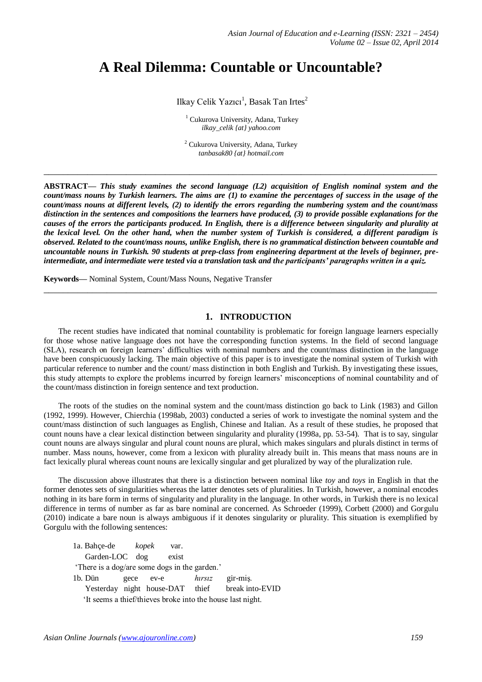# **A Real Dilemma: Countable or Uncountable?**

Ilkay Celik Yazıcı<sup>1</sup>, Basak Tan Irtes<sup>2</sup>

<sup>1</sup> Cukurova University, Adana, Turkey *ilkay\_celik {at} yahoo.com*

<sup>2</sup> Cukurova University, Adana, Turkey *tanbasak80 {at} hotmail.com*

**\_\_\_\_\_\_\_\_\_\_\_\_\_\_\_\_\_\_\_\_\_\_\_\_\_\_\_\_\_\_\_\_\_\_\_\_\_\_\_\_\_\_\_\_\_\_\_\_\_\_\_\_\_\_\_\_\_\_\_\_\_\_\_\_\_\_\_\_\_\_\_\_\_\_\_\_\_\_\_\_\_**

**ABSTRACT—** *This study examines the second language (L2) acquisition of English nominal system and the count/mass nouns by Turkish learners. The aims are (1) to examine the percentages of success in the usage of the count/mass nouns at different levels, (2) to identify the errors regarding the numbering system and the count/mass distinction in the sentences and compositions the learners have produced, (3) to provide possible explanations for the causes of the errors the participants produced. In English, there is a difference between singularity and plurality at the lexical level. On the other hand, when the number system of Turkish is considered, a different paradigm is observed. Related to the count/mass nouns, unlike English, there is no grammatical distinction between countable and uncountable nouns in Turkish. 90 students at prep-class from engineering department at the levels of beginner, preintermediate, and intermediate were tested via a translation task and the participants' paragraphs written in a quiz.*

**Keywords—** Nominal System, Count/Mass Nouns, Negative Transfer

# **1. INTRODUCTION**

**\_\_\_\_\_\_\_\_\_\_\_\_\_\_\_\_\_\_\_\_\_\_\_\_\_\_\_\_\_\_\_\_\_\_\_\_\_\_\_\_\_\_\_\_\_\_\_\_\_\_\_\_\_\_\_\_\_\_\_\_\_\_\_\_\_\_\_\_\_\_\_\_\_\_\_\_\_\_\_\_\_**

The recent studies have indicated that nominal countability is problematic for foreign language learners especially for those whose native language does not have the corresponding function systems. In the field of second language (SLA), research on foreign learners' difficulties with nominal numbers and the count/mass distinction in the language have been conspicuously lacking. The main objective of this paper is to investigate the nominal system of Turkish with particular reference to number and the count/ mass distinction in both English and Turkish. By investigating these issues, this study attempts to explore the problems incurred by foreign learners' misconceptions of nominal countability and of the count/mass distinction in foreign sentence and text production.

The roots of the studies on the nominal system and the count/mass distinction go back to Link (1983) and Gillon (1992, 1999). However, Chierchia (1998ab, 2003) conducted a series of work to investigate the nominal system and the count/mass distinction of such languages as English, Chinese and Italian. As a result of these studies, he proposed that count nouns have a clear lexical distinction between singularity and plurality (1998a, pp. 53-54). That is to say, singular count nouns are always singular and plural count nouns are plural, which makes singulars and plurals distinct in terms of number. Mass nouns, however, come from a lexicon with plurality already built in. This means that mass nouns are in fact lexically plural whereas count nouns are lexically singular and get pluralized by way of the pluralization rule.

The discussion above illustrates that there is a distinction between nominal like *toy* and *toys* in English in that the former denotes sets of singularities whereas the latter denotes sets of pluralities. In Turkish, however, a nominal encodes nothing in its bare form in terms of singularity and plurality in the language. In other words, in Turkish there is no lexical difference in terms of number as far as bare nominal are concerned. As Schroeder (1999), Corbett (2000) and Gorgulu (2010) indicate a bare noun is always ambiguous if it denotes singularity or plurality. This situation is exemplified by Gorgulu with the following sentences:

1a. Bahçe-de *kopek* var. Garden-LOC dog exist 'There is a dog/are some dogs in the garden.' 1b. Dün gece ev-e *hırsız* gir-miş. Yesterday night house-DAT thief break into-EVID 'It seems a thief/thieves broke into the house last night.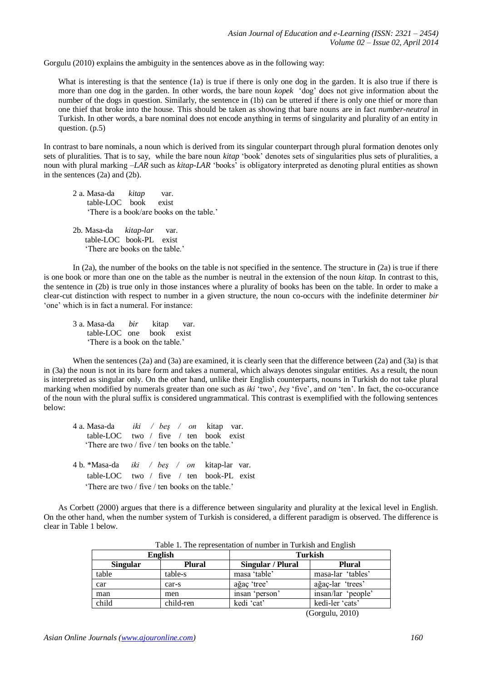Gorgulu (2010) explains the ambiguity in the sentences above as in the following way:

What is interesting is that the sentence (1a) is true if there is only one dog in the garden. It is also true if there is more than one dog in the garden. In other words, the bare noun *kopek* 'dog' does not give information about the number of the dogs in question. Similarly, the sentence in (1b) can be uttered if there is only one thief or more than one thief that broke into the house. This should be taken as showing that bare nouns are in fact *number-neutral* in Turkish. In other words, a bare nominal does not encode anything in terms of singularity and plurality of an entity in question. (p.5)

In contrast to bare nominals, a noun which is derived from its singular counterpart through plural formation denotes only sets of pluralities. That is to say, while the bare noun *kitap* 'book' denotes sets of singularities plus sets of pluralities, a noun with plural marking *–LAR* such as *kitap-LAR* 'books' is obligatory interpreted as denoting plural entities as shown in the sentences (2a) and (2b).

- 2 a. Masa-da *kitap* var. table-LOC book exist 'There is a book/are books on the table.'
- 2b. Masa-da *kitap-lar* var. table-LOC book-PL exist 'There are books on the table.'

In (2a), the number of the books on the table is not specified in the sentence. The structure in (2a) is true if there is one book or more than one on the table as the number is neutral in the extension of the noun *kitap.* In contrast to this, the sentence in (2b) is true only in those instances where a plurality of books has been on the table. In order to make a clear-cut distinction with respect to number in a given structure, the noun co-occurs with the indefinite determiner *bir* 'one' which is in fact a numeral. For instance:

3 a. Masa-da *bir* kitap var. table-LOC one book exist 'There is a book on the table.'

When the sentences (2a) and (3a) are examined, it is clearly seen that the difference between (2a) and (3a) is that in (3a) the noun is not in its bare form and takes a numeral, which always denotes singular entities. As a result, the noun is interpreted as singular only. On the other hand, unlike their English counterparts, nouns in Turkish do not take plural marking when modified by numerals greater than one such as *iki* 'two', *beş* 'five', and *on* 'ten'. In fact, the co-occurance of the noun with the plural suffix is considered ungrammatical. This contrast is exemplified with the following sentences below:

4 a. Masa-da *iki / beş / on* kitap var. table-LOC two / five / ten book exist 'There are two / five / ten books on the table.' 4 b. \*Masa-da *iki / beş / on* kitap-lar var. table-LOC two / five / ten book-PL exist 'There are two / five / ten books on the table.'

As Corbett (2000) argues that there is a difference between singularity and plurality at the lexical level in English. On the other hand, when the number system of Turkish is considered, a different paradigm is observed. The difference is clear in Table 1 below.

| - WOIV II IIIV IVPLVDVVIIVVIOII OI IIVIIIOVI III IVIIIDDII VIIV IIII <sub>M</sub> IIDII |               |                   |                    |  |
|-----------------------------------------------------------------------------------------|---------------|-------------------|--------------------|--|
| <b>English</b>                                                                          |               | Turkish           |                    |  |
| <b>Singular</b>                                                                         | <b>Plural</b> | Singular / Plural | <b>Plural</b>      |  |
| table                                                                                   | table-s       | masa 'table'      | masa-lar 'tables'  |  |
| car                                                                                     | car-s         | ağaç 'tree'       | ağaç-lar 'trees'   |  |
| man                                                                                     | men           | insan 'person'    | insan/lar 'people' |  |
| child                                                                                   | child-ren     | kedi 'cat'        | kedi-ler 'cats'    |  |
|                                                                                         |               |                   | (0, 1, 0.10)       |  |

Table 1. The representation of number in Turkish and English

(Gorgulu, 2010)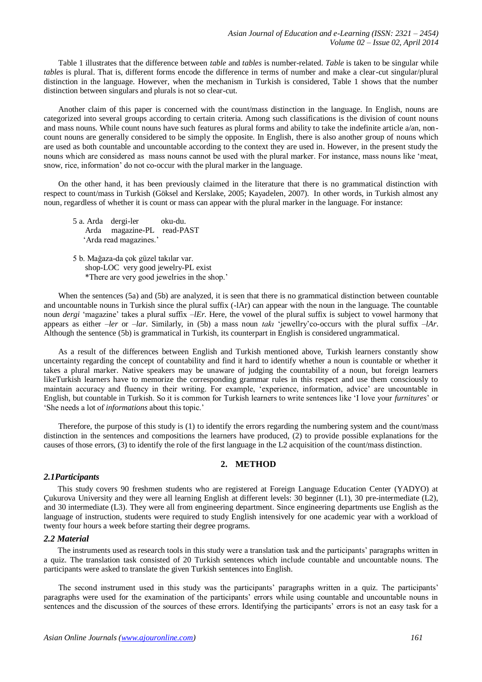Table 1 illustrates that the difference between *table* and *tables* is number-related. *Table* is taken to be singular while *tables* is plural. That is, different forms encode the difference in terms of number and make a clear-cut singular/plural distinction in the language. However, when the mechanism in Turkish is considered, Table 1 shows that the number distinction between singulars and plurals is not so clear-cut.

Another claim of this paper is concerned with the count/mass distinction in the language. In English, nouns are categorized into several groups according to certain criteria. Among such classifications is the division of count nouns and mass nouns. While count nouns have such features as plural forms and ability to take the indefinite article a/an, noncount nouns are generally considered to be simply the opposite. In English, there is also another group of nouns which are used as both countable and uncountable according to the context they are used in. However, in the present study the nouns which are considered as mass nouns cannot be used with the plural marker. For instance, mass nouns like 'meat, snow, rice, information' do not co-occur with the plural marker in the language.

On the other hand, it has been previously claimed in the literature that there is no grammatical distinction with respect to count/mass in Turkish (Göksel and Kerslake, 2005; Kayadelen, 2007). In other words, in Turkish almost any noun, regardless of whether it is count or mass can appear with the plural marker in the language. For instance:

5 a. Arda dergi-ler oku-du. Arda magazine-PL read-PAST 'Arda read magazines.'

5 b. Mağaza-da çok güzel takılar var. shop-LOC very good jewelry-PL exist \*There are very good jewelries in the shop.'

When the sentences (5a) and (5b) are analyzed, it is seen that there is no grammatical distinction between countable and uncountable nouns in Turkish since the plural suffix (-lAr) can appear with the noun in the language. The countable noun *dergi* 'magazine' takes a plural suffix *–lEr.* Here, the vowel of the plural suffix is subject to vowel harmony that appears as either *–ler* or *–lar*. Similarly, in (5b) a mass noun *takı* 'jewellry'co-occurs with the plural suffix *–lAr*. Although the sentence (5b) is grammatical in Turkish, its counterpart in English is considered ungrammatical.

As a result of the differences between English and Turkish mentioned above, Turkish learners constantly show uncertainty regarding the concept of countability and find it hard to identify whether a noun is countable or whether it takes a plural marker. Native speakers may be unaware of judging the countability of a noun, but foreign learners likeTurkish learners have to memorize the corresponding grammar rules in this respect and use them consciously to maintain accuracy and fluency in their writing. For example, 'experience, information, advice' are uncountable in English, but countable in Turkish. So it is common for Turkish learners to write sentences like 'I love your *furnitures*' or 'She needs a lot of *informations* about this topic.'

Therefore, the purpose of this study is (1) to identify the errors regarding the numbering system and the count/mass distinction in the sentences and compositions the learners have produced, (2) to provide possible explanations for the causes of those errors, (3) to identify the role of the first language in the L2 acquisition of the count/mass distinction.

## **2. METHOD**

## *2.1Participants*

 This study covers 90 freshmen students who are registered at Foreign Language Education Center (YADYO) at Çukurova University and they were all learning English at different levels: 30 beginner (L1), 30 pre-intermediate (L2), and 30 intermediate (L3). They were all from engineering department. Since engineering departments use English as the language of instruction, students were required to study English intensively for one academic year with a workload of twenty four hours a week before starting their degree programs.

#### *2.2 Material*

 The instruments used as research tools in this study were a translation task and the participants' paragraphs written in a quiz. The translation task consisted of 20 Turkish sentences which include countable and uncountable nouns. The participants were asked to translate the given Turkish sentences into English.

The second instrument used in this study was the participants' paragraphs written in a quiz. The participants' paragraphs were used for the examination of the participants' errors while using countable and uncountable nouns in sentences and the discussion of the sources of these errors. Identifying the participants' errors is not an easy task for a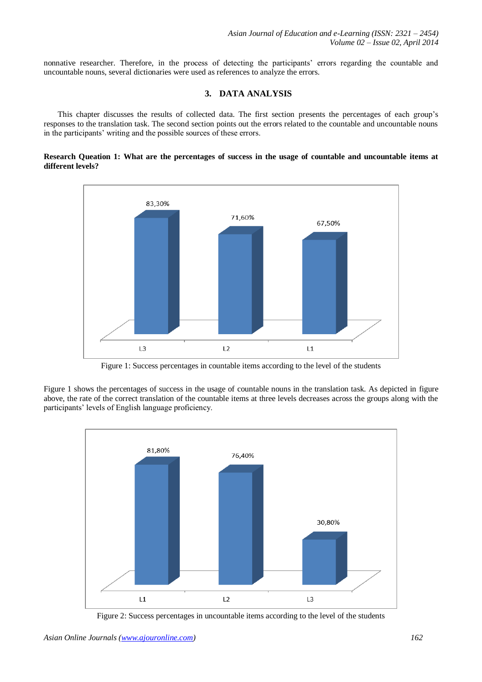nonnative researcher. Therefore, in the process of detecting the participants' errors regarding the countable and uncountable nouns, several dictionaries were used as references to analyze the errors.

# **3. DATA ANALYSIS**

 This chapter discusses the results of collected data. The first section presents the percentages of each group's responses to the translation task. The second section points out the errors related to the countable and uncountable nouns in the participants' writing and the possible sources of these errors.

#### **Research Queation 1: What are the percentages of success in the usage of countable and uncountable items at different levels?**



Figure 1: Success percentages in countable items according to the level of the students

Figure 1 shows the percentages of success in the usage of countable nouns in the translation task. As depicted in figure above, the rate of the correct translation of the countable items at three levels decreases across the groups along with the participants' levels of English language proficiency.



Figure 2: Success percentages in uncountable items according to the level of the students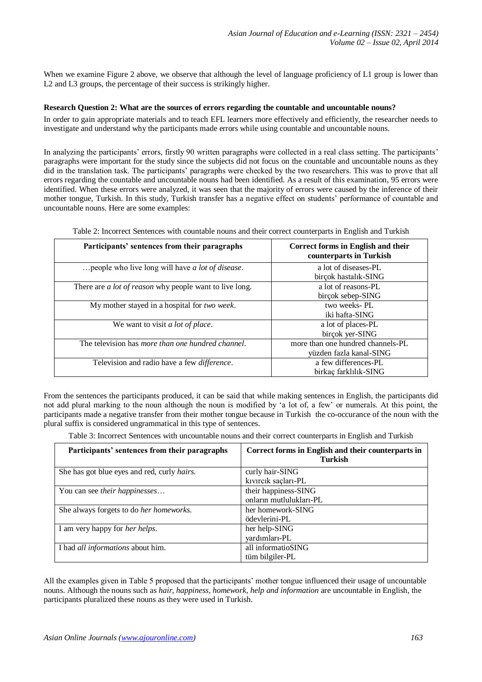When we examine Figure 2 above, we observe that although the level of language proficiency of L1 group is lower than L2 and L3 groups, the percentage of their success is strikingly higher.

#### **Research Question 2: What are the sources of errors regarding the countable and uncountable nouns?**

In order to gain appropriate materials and to teach EFL learners more effectively and efficiently, the researcher needs to investigate and understand why the participants made errors while using countable and uncountable nouns.

In analyzing the participants' errors, firstly 90 written paragraphs were collected in a real class setting. The participants' paragraphs were important for the study since the subjects did not focus on the countable and uncountable nouns as they did in the translation task. The participants' paragraphs were checked by the two researchers. This was to prove that all errors regarding the countable and uncountable nouns had been identified. As a result of this examination, 95 errors were identified. When these errors were analyzed, it was seen that the majority of errors were caused by the inference of their mother tongue, Turkish. In this study, Turkish transfer has a negative effect on students' performance of countable and uncountable nouns. Here are some examples:

| Participants' sentences from their paragraphs                  | Correct forms in English and their<br>counterparts in Turkish |
|----------------------------------------------------------------|---------------------------------------------------------------|
| people who live long will have a lot of disease.               | a lot of diseases-PL<br>birçok hastalık-SING                  |
| There are <i>a lot of reason</i> why people want to live long. | a lot of reasons-PL<br>birçok sebep-SING                      |
| My mother stayed in a hospital for two week.                   | two weeks-PL<br>iki hafta-SING                                |
| We want to visit <i>a lot of place</i> .                       | a lot of places-PL<br>birçok yer-SING                         |
| The television has more than one hundred channel.              | more than one hundred channels-PL<br>yüzden fazla kanal-SING  |
| Television and radio have a few <i>difference</i> .            | a few differences-PL<br>birkaç farklılık-SING                 |

Table 2: Incorrect Sentences with countable nouns and their correct counterparts in English and Turkish

From the sentences the participants produced, it can be said that while making sentences in English, the participants did not add plural marking to the noun although the noun is modified by 'a lot of, a few' or numerals. At this point, the participants made a negative transfer from their mother tongue because in Turkish the co-occurance of the noun with the plural suffix is considered ungrammatical in this type of sentences.

Table 3: Incorrect Sentences with uncountable nouns and their correct counterparts in English and Turkish

| Participants' sentences from their paragraphs       | Correct forms in English and their counterparts in<br><b>Turkish</b> |
|-----------------------------------------------------|----------------------------------------------------------------------|
| She has got blue eyes and red, curly <i>hairs</i> . | curly hair-SING                                                      |
|                                                     | kıvırcık saçları-PL                                                  |
| You can see their happinesses                       | their happiness-SING                                                 |
|                                                     | onların mutlulukları-PL                                              |
| She always forgets to do her homeworks.             | her homework-SING                                                    |
|                                                     | ödevlerini-PL                                                        |
| I am very happy for <i>her helps</i> .              | her help-SING                                                        |
|                                                     | yardımları-PL                                                        |
| I had <i>all informations</i> about him.            | all informatioSING                                                   |
|                                                     | tüm bilgiler-PL                                                      |

All the examples given in Table 5 proposed that the participants' mother tongue influenced their usage of uncountable nouns. Although the nouns such as *hair, happiness, homework, help and information* are uncountable in English, the participants pluralized these nouns as they were used in Turkish.